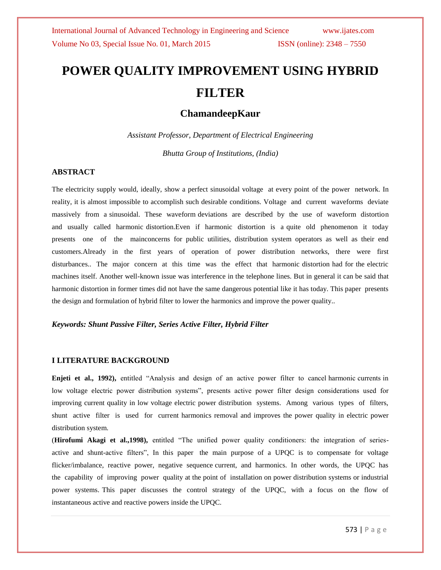# **POWER QUALITY IMPROVEMENT USING HYBRID FILTER**

## **ChamandeepKaur**

*Assistant Professor, Department of Electrical Engineering Bhutta Group of Institutions, (India)*

#### **ABSTRACT**

The electricity supply would, ideally, show a perfect sinusoidal voltage at every point of the power network. In reality, it is almost impossible to accomplish such desirable conditions. Voltage and current waveforms deviate massively from a sinusoidal. These waveform deviations are described by the use of waveform distortion and usually called harmonic distortion.Even if harmonic distortion is a quite old phenomenon it today presents one of the mainconcerns for public utilities, distribution system operators as well as their end customers.Already in the first years of operation of power distribution networks, there were first disturbances.. The major concern at this time was the effect that harmonic distortion had for the electric machines itself. Another well-known issue was interference in the telephone lines. But in general it can be said that harmonic distortion in former times did not have the same dangerous potential like it has today. This paper presents the design and formulation of hybrid filter to lower the harmonics and improve the power quality..

#### *Keywords: Shunt Passive Filter, Series Active Filter, Hybrid Filter*

#### **I LITERATURE BACKGROUND**

**Enjeti et al., 1992),** entitled "Analysis and design of an active power filter to cancel harmonic currents in low voltage electric power distribution systems", presents active power filter design considerations used for improving current quality in low voltage electric power distribution systems. Among various types of filters, shunt active filter is used for current harmonics removal and improves the power quality in electric power distribution system.

(**Hirofumi Akagi et al.,1998),** entitled "The unified power quality conditioners: the integration of seriesactive and shunt-active filters", In this paper the main purpose of a UPQC is to compensate for voltage flicker/imbalance, reactive power, negative sequence current, and harmonics. In other words, the UPQC has the capability of improving power quality at the point of installation on power distribution systems or industrial power systems. This paper discusses the control strategy of the UPQC, with a focus on the flow of instantaneous active and reactive powers inside the UPQC.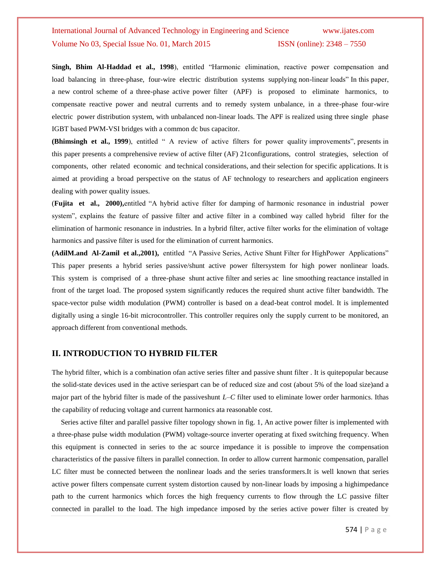**Singh, Bhim Al-Haddad et al., 1998**), entitled "Harmonic elimination, reactive power compensation and load balancing in three-phase, four-wire electric distribution systems supplying non-linear loads" In this paper, a new control scheme of a three-phase active power filter (APF) is proposed to eliminate harmonics, to compensate reactive power and neutral currents and to remedy system unbalance, in a three-phase four-wire electric power distribution system, with unbalanced non-linear loads. The APF is realized using three single phase IGBT based PWM-VSI bridges with a common dc bus capacitor.

**(Bhimsingh et al., 1999**), entitled " A review of active filters for power quality improvements", presents in this paper presents a comprehensive review of active filter (AF) 21configurations, control strategies, selection of components, other related economic and technical considerations, and their selection for specific applications. It is aimed at providing a broad perspective on the status of AF technology to researchers and application engineers dealing with power quality issues.

(**Fujita et al., 2000),**entitled "A hybrid active filter for damping of harmonic resonance in industrial power system", explains the feature of passive filter and active filter in a combined way called hybrid filter for the elimination of harmonic resonance in industries. In a hybrid filter, active filter works for the elimination of voltage harmonics and passive filter is used for the elimination of current harmonics.

**(AdilM.and Al-Zamil et al.,2001),** entitled "A Passive Series, Active Shunt Filter for HighPower Applications" This paper presents a hybrid series passive/shunt active power filtersystem for high power nonlinear loads. This system is comprised of a three-phase shunt active filter and series ac line smoothing reactance installed in front of the target load. The proposed system significantly reduces the required shunt active filter bandwidth. The space-vector pulse width modulation (PWM) controller is based on a dead-beat control model. It is implemented digitally using a single 16-bit microcontroller. This controller requires only the supply current to be monitored, an approach different from conventional methods.

#### **II. INTRODUCTION TO HYBRID FILTER**

The hybrid filter, which is a combination ofan active series filter and passive shunt filter . It is quitepopular because the solid-state devices used in the active seriespart can be of reduced size and cost (about 5% of the load size)and a major part of the hybrid filter is made of the passiveshunt *L*–*C* filter used to eliminate lower order harmonics. Ithas the capability of reducing voltage and current harmonics ata reasonable cost.

 Series active filter and parallel passive filter topology shown in fig. 1, An active power filter is implemented with a three-phase pulse width modulation (PWM) voltage-source inverter operating at fixed switching frequency. When this equipment is connected in series to the ac source impedance it is possible to improve the compensation characteristics of the passive filters in parallel connection. In order to allow current harmonic compensation, parallel LC filter must be connected between the nonlinear loads and the series transformers.It is well known that series active power filters compensate current system distortion caused by non-linear loads by imposing a highimpedance path to the current harmonics which forces the high frequency currents to flow through the LC passive filter connected in parallel to the load. The high impedance imposed by the series active power filter is created by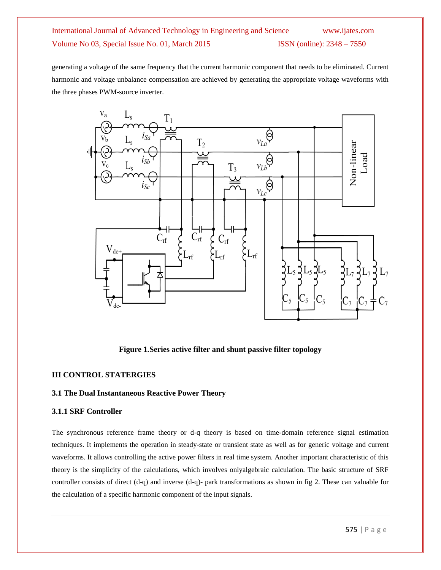generating a voltage of the same frequency that the current harmonic component that needs to be eliminated. Current harmonic and voltage unbalance compensation are achieved by generating the appropriate voltage waveforms with the three phases PWM-source inverter.



**Figure 1.Series active filter and shunt passive filter topology**

#### **III CONTROL STATERGIES**

#### **3.1 The Dual Instantaneous Reactive Power Theory**

#### **3.1.1 SRF Controller**

The synchronous reference frame theory or d-q theory is based on time-domain reference signal estimation techniques. It implements the operation in steady-state or transient state as well as for generic voltage and current waveforms. It allows controlling the active power filters in real time system. Another important characteristic of this theory is the simplicity of the calculations, which involves onlyalgebraic calculation. The basic structure of SRF controller consists of direct (d-q) and inverse (d-q)- park transformations as shown in fig 2. These can valuable for the calculation of a specific harmonic component of the input signals.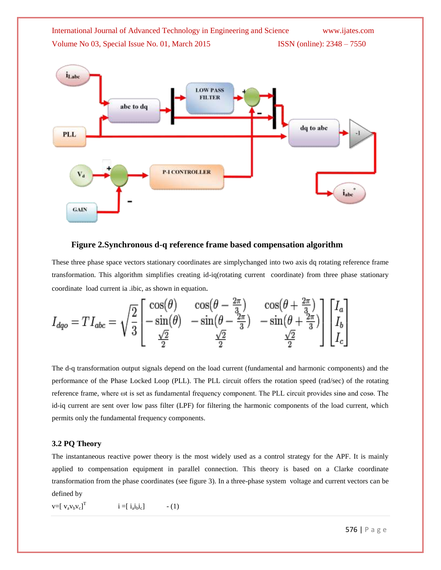



#### **Figure 2.Synchronous d-q reference frame based compensation algorithm**

These three phase space vectors stationary coordinates are simplychanged into two axis dq rotating reference frame transformation. This algorithm simplifies creating id-iq(rotating current coordinate) from three phase stationary coordinate load current ia .ibic, as shown in equation.

$$
I_{dqo} = TI_{abc} = \sqrt{\frac{2}{3}} \begin{bmatrix} \cos(\theta) & \cos(\theta - \frac{2\pi}{3}) & \cos(\theta + \frac{2\pi}{3})\\ -\sin(\theta) & -\sin(\theta - \frac{2\pi}{3}) & -\sin(\theta + \frac{2\pi}{3})\\ \frac{\sqrt{2}}{2} & \frac{\sqrt{2}}{2} & \frac{\sqrt{2}}{2} \end{bmatrix} \begin{bmatrix} I_a\\ I_b\\ I_c \end{bmatrix}
$$

The d-q transformation output signals depend on the load current (fundamental and harmonic components) and the performance of the Phase Locked Loop (PLL). The PLL circuit offers the rotation speed (rad/sec) of the rotating reference frame, where ωt is set as fundamental frequency component. The PLL circuit provides sinѳ and cosѳ. The id-iq current are sent over low pass filter (LPF) for filtering the harmonic components of the load current, which permits only the fundamental frequency components.

#### **3.2 PQ Theory**

The instantaneous reactive power theory is the most widely used as a control strategy for the APF. It is mainly applied to compensation equipment in parallel connection. This theory is based on a Clarke coordinate transformation from the phase coordinates (see figure 3). In a three-phase system voltage and current vectors can be defined by

 $v=[v_a v_b v_c]^T$  $i = [ i_a i_b i_c ]$  $- (1)$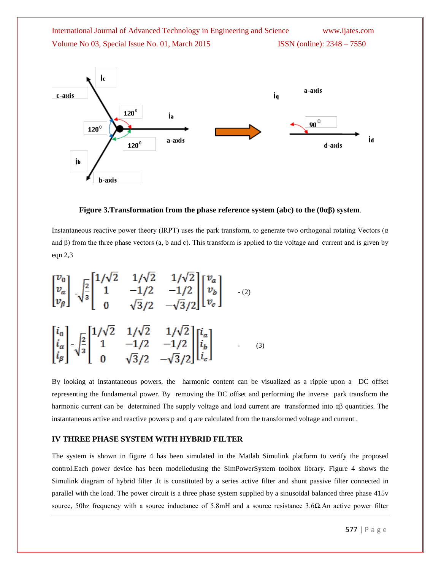

**Figure 3.Transformation from the phase reference system (abc) to the (0αβ) system**.

Instantaneous reactive power theory (IRPT) uses the park transform, to generate two orthogonal rotating Vectors ( $\alpha$ ) and  $\beta$ ) from the three phase vectors (a, b and c). This transform is applied to the voltage and current and is given by eqn 2,3

$$
\begin{bmatrix} v_0 \\ v_\alpha \\ v_\beta \end{bmatrix} = \sqrt{\frac{2}{3}} \begin{bmatrix} 1/\sqrt{2} & 1/\sqrt{2} & 1/\sqrt{2} \\ 1 & -1/2 & -1/2 \\ 0 & \sqrt{3}/2 & -\sqrt{3}/2 \end{bmatrix} \begin{bmatrix} v_a \\ v_b \\ v_c \end{bmatrix}
$$
  

$$
\begin{bmatrix} i_0 \\ i_\alpha \\ i_\beta \end{bmatrix} = \sqrt{\frac{2}{3}} \begin{bmatrix} 1/\sqrt{2} & 1/\sqrt{2} & 1/\sqrt{2} \\ 1 & -1/2 & -1/2 \\ 0 & \sqrt{3}/2 & -\sqrt{3}/2 \end{bmatrix} \begin{bmatrix} i_a \\ i_b \\ i_c \end{bmatrix}
$$
 (3)

By looking at instantaneous powers, the harmonic content can be visualized as a ripple upon a DC offset representing the fundamental power. By removing the DC offset and performing the inverse park transform the harmonic current can be determined The supply voltage and load current are transformed into αβ quantities. The instantaneous active and reactive powers p and q are calculated from the transformed voltage and current .

#### **IV THREE PHASE SYSTEM WITH HYBRID FILTER**

The system is shown in figure 4 has been simulated in the Matlab Simulink platform to verify the proposed control.Each power device has been modelledusing the SimPowerSystem toolbox library. Figure 4 shows the Simulink diagram of hybrid filter .It is constituted by a series active filter and shunt passive filter connected in parallel with the load. The power circuit is a three phase system supplied by a sinusoidal balanced three phase 415v source, 50hz frequency with a source inductance of 5.8mH and a source resistance 3.6Ω.An active power filter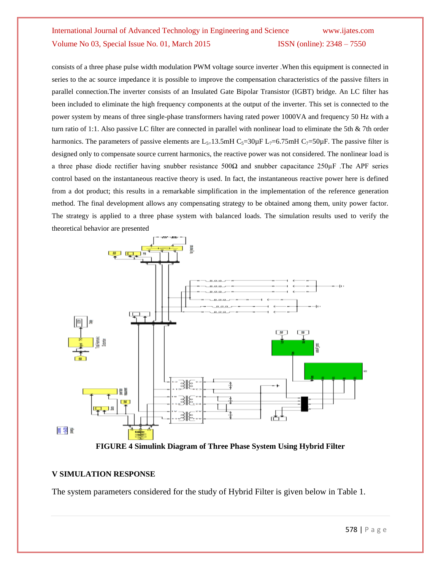consists of a three phase pulse width modulation PWM voltage source inverter .When this equipment is connected in series to the ac source impedance it is possible to improve the compensation characteristics of the passive filters in parallel connection.The inverter consists of an Insulated Gate Bipolar Transistor (IGBT) bridge. An LC filter has been included to eliminate the high frequency components at the output of the inverter. This set is connected to the power system by means of three single-phase transformers having rated power 1000VA and frequency 50 Hz with a turn ratio of 1:1. Also passive LC filter are connected in parallel with nonlinear load to eliminate the 5th & 7th order harmonics. The parameters of passive elements are  $L_{5=1}$ 3.5mH  $C_{5=30\mu}$ F  $L_{7=6.75\mu}$ H  $C_{7=50\mu}$ F. The passive filter is designed only to compensate source current harmonics, the reactive power was not considered. The nonlinear load is a three phase diode rectifier having snubber resistance 500 $\Omega$  and snubber capacitance 250 $\mu$ F .The APF series control based on the instantaneous reactive theory is used. In fact, the instantaneous reactive power here is defined from a dot product; this results in a remarkable simplification in the implementation of the reference generation method. The final development allows any compensating strategy to be obtained among them, unity power factor. The strategy is applied to a three phase system with balanced loads. The simulation results used to verify the theoretical behavior are presented



**FIGURE 4 Simulink Diagram of Three Phase System Using Hybrid Filter**

#### **V SIMULATION RESPONSE**

The system parameters considered for the study of Hybrid Filter is given below in Table 1.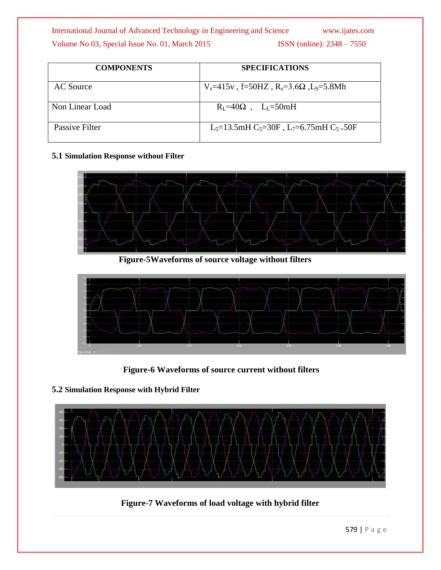| <b>COMPONENTS</b> | <b>SPECIFICATIONS</b>                                                         |
|-------------------|-------------------------------------------------------------------------------|
| AC Source         | $V_s = 415v$ , f=50HZ, R <sub>s</sub> =3.6 $\Omega$ , L <sub>S</sub> =5.8Mh   |
| Non Linear Load   | $R_{L} = 40\Omega$ , $L_{L} = 50mH$                                           |
| Passive Filter    | $L_5=13.5$ mH C <sub>5</sub> =30F, L <sub>7</sub> =6.75mH C <sub>5=</sub> 50F |

### **5.1 Simulation Response without Filter**



 **Figure-5Waveforms of source voltage without filters**



 **Figure-6 Waveforms of source current without filters**

**5.2 Simulation Response with Hybrid Filter**



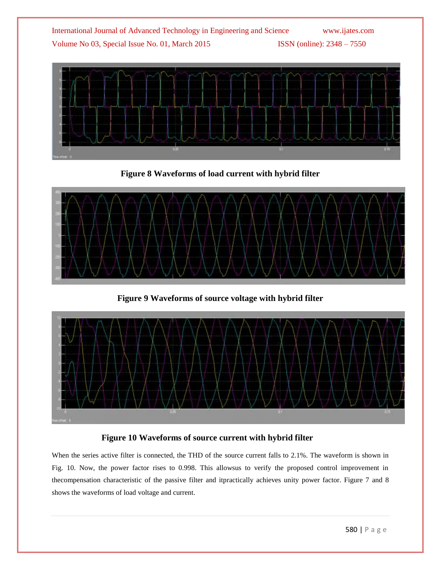

**Figure 8 Waveforms of load current with hybrid filter**



**Figure 9 Waveforms of source voltage with hybrid filter**



## **Figure 10 Waveforms of source current with hybrid filter**

When the series active filter is connected, the THD of the source current falls to 2.1%. The waveform is shown in Fig. 10. Now, the power factor rises to 0.998. This allowsus to verify the proposed control improvement in thecompensation characteristic of the passive filter and itpractically achieves unity power factor. Figure 7 and 8 shows the waveforms of load voltage and current.